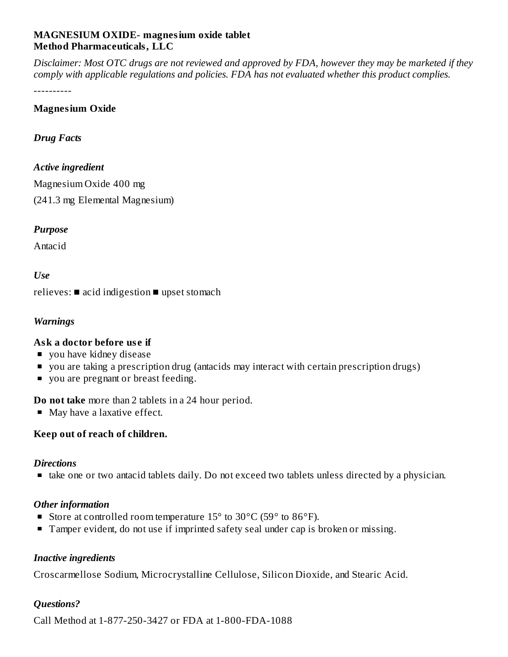#### **MAGNESIUM OXIDE- magnesium oxide tablet Method Pharmaceuticals, LLC**

Disclaimer: Most OTC drugs are not reviewed and approved by FDA, however they may be marketed if they *comply with applicable regulations and policies. FDA has not evaluated whether this product complies.*

----------

#### **Magnesium Oxide**

#### *Drug Facts*

#### *Active ingredient*

Magnesium Oxide 400 mg (241.3 mg Elemental Magnesium)

#### *Purpose*

Antacid

# *Use*

relieves: ■ acid indigestion ■ upset stomach

## *Warnings*

## **Ask a doctor before us e if**

- vou have kidney disease
- you are taking a prescription drug (antacids may interact with certain prescription drugs)
- vou are pregnant or breast feeding.

**Do not take** more than 2 tablets in a 24 hour period.

• May have a laxative effect.

## **Keep out of reach of children.**

## *Directions*

■ take one or two antacid tablets daily. Do not exceed two tablets unless directed by a physician.

## *Other information*

- Store at controlled room temperature  $15^{\circ}$  to  $30^{\circ}$ C (59 $^{\circ}$  to  $86^{\circ}$ F).
- **Tamper evident, do not use if imprinted safety seal under cap is broken or missing.**

## *Inactive ingredients*

Croscarmellose Sodium, Microcrystalline Cellulose, Silicon Dioxide, and Stearic Acid.

## *Questions?*

Call Method at 1-877-250-3427 or FDA at 1-800-FDA-1088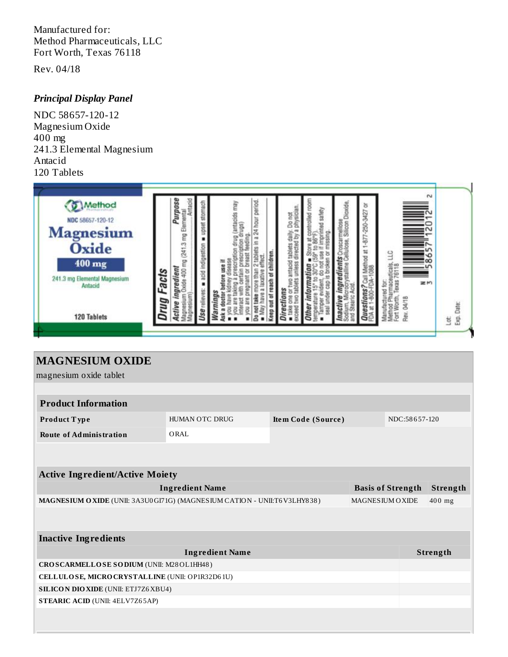Manufactured for: Method Pharmaceuticals, LLC Fort Worth, Texas 76118

Rev. 04/18

## *Principal Display Panel*

NDC 58657-120-12 Magnesium Oxide 400 mg 241.3 Elemental Magnesium Antacid 120 Tablets



| <b>MAGNESIUM OXIDE</b>                                                                       |                          |                    |  |               |        |  |  |  |  |
|----------------------------------------------------------------------------------------------|--------------------------|--------------------|--|---------------|--------|--|--|--|--|
| magnesium oxide tablet                                                                       |                          |                    |  |               |        |  |  |  |  |
|                                                                                              |                          |                    |  |               |        |  |  |  |  |
| <b>Product Information</b>                                                                   |                          |                    |  |               |        |  |  |  |  |
| Product Type                                                                                 | HUMAN OTC DRUG           | Item Code (Source) |  | NDC:58657-120 |        |  |  |  |  |
| <b>Route of Administration</b>                                                               | ORAL                     |                    |  |               |        |  |  |  |  |
|                                                                                              |                          |                    |  |               |        |  |  |  |  |
|                                                                                              |                          |                    |  |               |        |  |  |  |  |
| <b>Active Ingredient/Active Moiety</b>                                                       |                          |                    |  |               |        |  |  |  |  |
| <b>Ingredient Name</b>                                                                       | <b>Basis of Strength</b> | Strength           |  |               |        |  |  |  |  |
| MAGNESIUM OXIDE (UNII: 3A3U0 GI71G) (MAGNESIUM CATION - UNII:T6 V3LHY838)<br>MAGNESIUM OXIDE |                          |                    |  |               | 400 mg |  |  |  |  |
|                                                                                              |                          |                    |  |               |        |  |  |  |  |
|                                                                                              |                          |                    |  |               |        |  |  |  |  |
| <b>Inactive Ingredients</b>                                                                  |                          |                    |  |               |        |  |  |  |  |
|                                                                                              |                          | Strength           |  |               |        |  |  |  |  |
| CROSCARMELLOSE SODIUM (UNII: M28OL1HH48)                                                     |                          |                    |  |               |        |  |  |  |  |
| CELLULOSE, MICRO CRYSTALLINE (UNII: OP1R32D61U)                                              |                          |                    |  |               |        |  |  |  |  |
| <b>SILICON DIO XIDE (UNII: ETJ7Z6 XBU4)</b>                                                  |                          |                    |  |               |        |  |  |  |  |
| <b>STEARIC ACID (UNII: 4ELV7Z65AP)</b>                                                       |                          |                    |  |               |        |  |  |  |  |
|                                                                                              |                          |                    |  |               |        |  |  |  |  |
|                                                                                              |                          |                    |  |               |        |  |  |  |  |